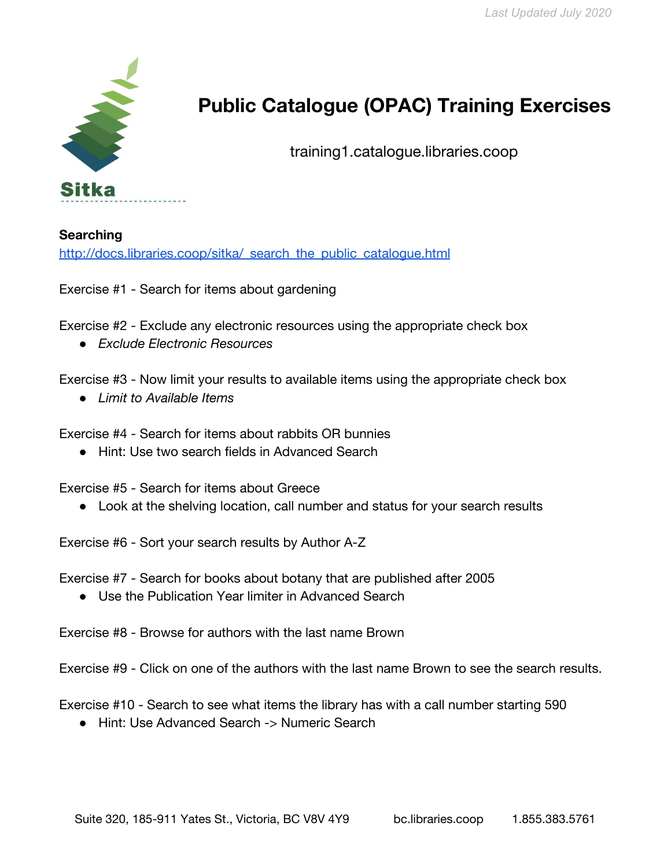

## **Public Catalogue (OPAC) Training Exercises**

training1.catalogue.libraries.coop

**Searching** http://docs.libraries.coop/sitka/ search the public catalogue.html

Exercise #1 - Search for items about gardening

Exercise #2 - Exclude any electronic resources using the appropriate check box

*● Exclude Electronic Resources*

Exercise #3 - Now limit your results to available items using the appropriate check box

● *Limit to Available Items*

Exercise #4 - Search for items about rabbits OR bunnies

● Hint: Use two search fields in Advanced Search

Exercise #5 - Search for items about Greece

● Look at the shelving location, call number and status for your search results

Exercise #6 - Sort your search results by Author A-Z

Exercise #7 - Search for books about botany that are published after 2005

● Use the Publication Year limiter in Advanced Search

Exercise #8 - Browse for authors with the last name Brown

Exercise #9 - Click on one of the authors with the last name Brown to see the search results.

Exercise #10 - Search to see what items the library has with a call number starting 590

● Hint: Use Advanced Search -> Numeric Search